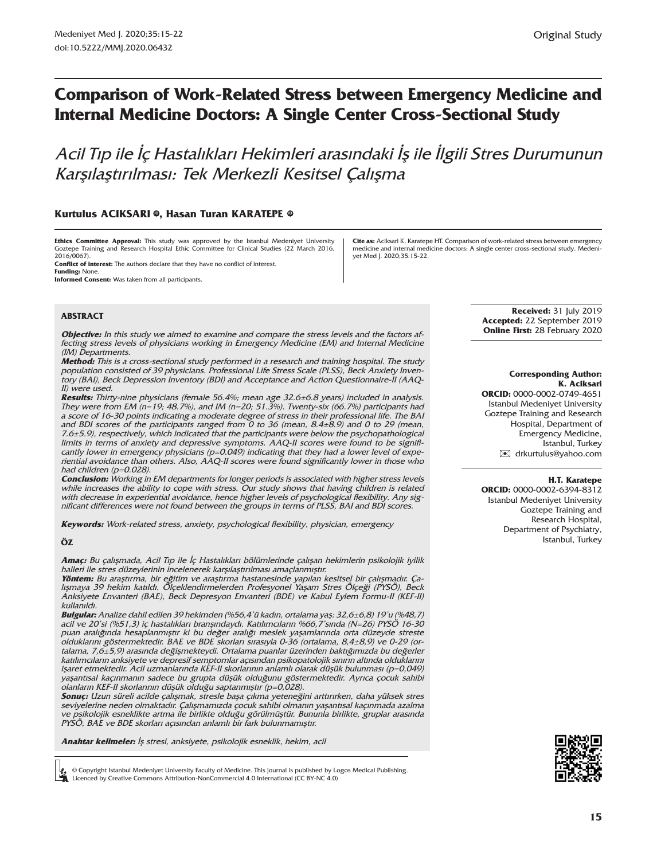# **Comparison of Work-Related Stress between Emergency Medicine and Internal Medicine Doctors: A Single Center Cross-Sectional Study**

Acil Tıp ile İç Hastalıkları Hekimleri arasındaki İş ile İlgili Stres Durumunun Karşılaştırılması: Tek Merkezli Kesitsel Çalışma

### **Kurtulus ACIKSARI** ©, Hasan Turan KARATEPE ©

**Ethics Committee Approval:** This study was approved by the Istanbul Medeniyet University Goztepe Training and Research Hospital Ethic Committee for Clinical Studies (22 March 2016, 2016/0067).

**Conflict of interest:** The authors declare that they have no conflict of interest. **Funding:** None.

**Informed Consent:** Was taken from all participants.

**Cite as:** Aciksari K, Karatepe HT. Comparison of work-related stress between emergency medicine and internal medicine doctors: A single center cross-sectional study. Medeniyet Med J. 2020;35:15-22.

#### **ABSTRACT**

**Objective:** In this study we aimed to examine and compare the stress levels and the factors affecting stress levels of physicians working in Emergency Medicine (EM) and Internal Medicine (IM) Departments.

**Method:** This is a cross-sectional study performed in a research and training hospital. The study population consisted of 39 physicians. Professional Life Stress Scale (PLSS), Beck Anxiety Inventory (BAI), Beck Depression Inventory (BDI) and Acceptance and Action Questionnaire-II (AAQ-II) were used.

**Results:** Thirty-nine physicians (female 56.4%; mean age 32.6±6.8 years) included in analysis. They were from EM ( $n=19$ ; 48.7%), and IM ( $n=20$ ; 51.3%). Twenty-six (66.7%) participants had a score of 16-30 points indicating a moderate degree of stress in their professional life. The BAI and BDI scores of the participants ranged from  $\overline{0}$  to 36 (mean, 8.4 $\pm$ 8.9) and 0 to 29 (mean, 7.6±5.9), respectively, which indicated that the participants were below the psychopathological limits in terms of anxiety and depressive symptoms. AAQ-II scores were found to be significantly lower in emergency physicians ( $p=0.049$ ) indicating that they had a lower level of experiential avoidance than others. Also, AAQ-II scores were found significantly lower in those who had children (p=0.028).

**Conclusion:** Working in EM departments for longer periods is associated with higher stress levels while increases the ability to cope with stress. Our study shows that having children is related with decrease in experiential avoidance, hence higher levels of psychological flexibility. Any significant differences were not found between the groups in terms of PLSS, BAI and BDI scores.

**Keywords:** Work-related stress, anxiety, psychological flexibility, physician, emergency

#### **ÖZ**

**Amaç:** Bu çalışmada, Acil Tıp ile İç Hastalıkları bölümlerinde çalışan hekimlerin psikolojik iyilik halleri ile stres düzeylerinin incelenerek karşılaştırılması amaçlanmıştır.

**Yöntem:** Bu araştırma, bir eğitim ve araştırma hastanesinde yapılan kesitsel bir çalışmadır. Çalışmaya 39 hekim katıldı. Ölçeklendirmelerden Profesyonel Yaşam Stres Ölçeği (PYSÖ), Beck Anksiyete Envanteri (BAE), Beck Depresyon Envanteri (BDE) ve Kabul Eylem Formu-II (KEF-II) kullanıldı.

**Bulgular:** Analize dahil edilen 39 hekimden (%56,4'ü kadın, ortalama yaş: 32,6±6,8) 19'u (%48,7) acil ve 20'si (%51,3) iç hastalıkları branşındaydı. Katılımcıların %66,7'sında (N=26) PYSÖ 16-30 puan aralığında hesaplanmıştır ki bu değer aralığı meslek yaşamlarında orta düzeyde streste olduklarını göstermektedir. BAE ve BDE skorları sırasıyla 0-36 (ortalama, 8,4±8,9) ve 0-29 (ortalama, 7,6±5,9) arasında değişmekteydi. Ortalama puanlar üzerinden baktığımızda bu değerler katılımcıların anksiyete ve depresif semptomlar açısından psikopatolojik sınırın altında olduklarını işaret etmektedir. Acil uzmanlarında KEF-II skorlarının anlamlı olarak düşük bulunması (p=0,049) yaşantısal kaçınmanın sadece bu grupta düşük olduğunu göstermektedir. Ayrıca çocuk sahibi olanların KEF-II skorlarının düşük olduğu saptanmıştır (p=0,028).

**Sonuç:** Uzun süreli acilde çalışmak, stresle başa çıkma yeteneğini arttırırken, daha yüksek stres seviyelerine neden olmaktadır. Çalışmamızda çocuk sahibi olmanın yaşantısal kaçınmada azalma ve psikolojik esneklikte artma ile birlikte olduğu görülmüştür. Bununla birlikte, gruplar arasında PYSÖ, BAE ve BDE skorları açısından anlamlı bir fark bulunmamıştır.

**Anahtar kelimeler:** İş stresi, anksiyete, psikolojik esneklik, hekim, acil

© Copyright Istanbul Medeniyet University Faculty of Medicine. This journal is published by Logos Medical Publishing. Licenced by Creative Commons Attribution-NonCommercial 4.0 International (CC BY-NC 4.0)

**Received:** 31 July 2019 **Accepted:** 22 September 2019 **Online First:** 28 February 2020

#### **Corresponding Author: K. Aciksari**

**ORCID:** 0000-0002-0749-4651 Istanbul Medeniyet University Goztepe Training and Research Hospital, Department of Emergency Medicine, Istanbul, Turkey [✉](mailto:drkurtulus@yahoo.com) drkurtulus@yahoo.com

#### **H.T. Karatepe**

**ORCID:** 0000-0002-6394-8312 Istanbul Medeniyet University Goztepe Training and Research Hospital, Department of Psychiatry, Istanbul, Turkey

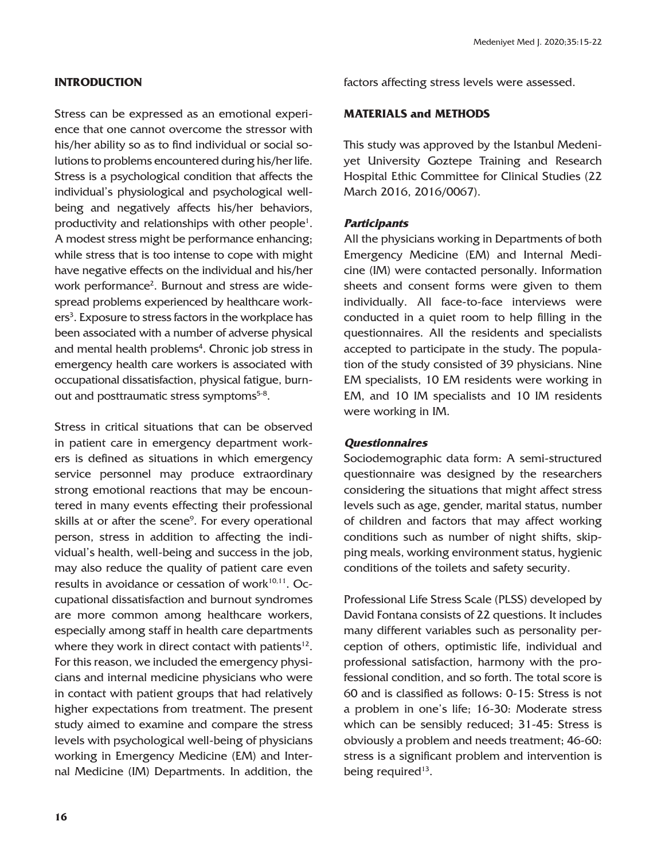# **INTRODUCTION**

Stress can be expressed as an emotional experience that one cannot overcome the stressor with his/her ability so as to find individual or social solutions to problems encountered during his/her life. Stress is a psychological condition that affects the individual's physiological and psychological wellbeing and negatively affects his/her behaviors, productivity and relationships with other people<sup>1</sup>. A modest stress might be performance enhancing; while stress that is too intense to cope with might have negative effects on the individual and his/her work performance<sup>2</sup>. Burnout and stress are widespread problems experienced by healthcare workers<sup>3</sup>. Exposure to stress factors in the workplace has been associated with a number of adverse physical and mental health problems<sup>4</sup>. Chronic job stress in emergency health care workers is associated with occupational dissatisfaction, physical fatigue, burnout and posttraumatic stress symptoms<sup>5-8</sup>.

Stress in critical situations that can be observed in patient care in emergency department workers is defined as situations in which emergency service personnel may produce extraordinary strong emotional reactions that may be encountered in many events effecting their professional skills at or after the scene<sup>9</sup>. For every operational person, stress in addition to affecting the individual's health, well-being and success in the job, may also reduce the quality of patient care even results in avoidance or cessation of work<sup>10,11</sup>. Occupational dissatisfaction and burnout syndromes are more common among healthcare workers, especially among staff in health care departments where they work in direct contact with patients $12$ . For this reason, we included the emergency physicians and internal medicine physicians who were in contact with patient groups that had relatively higher expectations from treatment. The present study aimed to examine and compare the stress levels with psychological well-being of physicians working in Emergency Medicine (EM) and Internal Medicine (IM) Departments. In addition, the

factors affecting stress levels were assessed.

# **MATERIALS and METHODS**

This study was approved by the Istanbul Medeniyet University Goztepe Training and Research Hospital Ethic Committee for Clinical Studies (22 March 2016, 2016/0067).

### **Participants**

All the physicians working in Departments of both Emergency Medicine (EM) and Internal Medicine (IM) were contacted personally. Information sheets and consent forms were given to them individually. All face-to-face interviews were conducted in a quiet room to help filling in the questionnaires. All the residents and specialists accepted to participate in the study. The population of the study consisted of 39 physicians. Nine EM specialists, 10 EM residents were working in EM, and 10 IM specialists and 10 IM residents were working in IM.

# **Questionnaires**

Sociodemographic data form: A semi-structured questionnaire was designed by the researchers considering the situations that might affect stress levels such as age, gender, marital status, number of children and factors that may affect working conditions such as number of night shifts, skipping meals, working environment status, hygienic conditions of the toilets and safety security.

Professional Life Stress Scale (PLSS) developed by David Fontana consists of 22 questions. It includes many different variables such as personality perception of others, optimistic life, individual and professional satisfaction, harmony with the professional condition, and so forth. The total score is 60 and is classified as follows: 0-15: Stress is not a problem in one's life; 16-30: Moderate stress which can be sensibly reduced; 31-45: Stress is obviously a problem and needs treatment; 46-60: stress is a significant problem and intervention is being required<sup>13</sup>.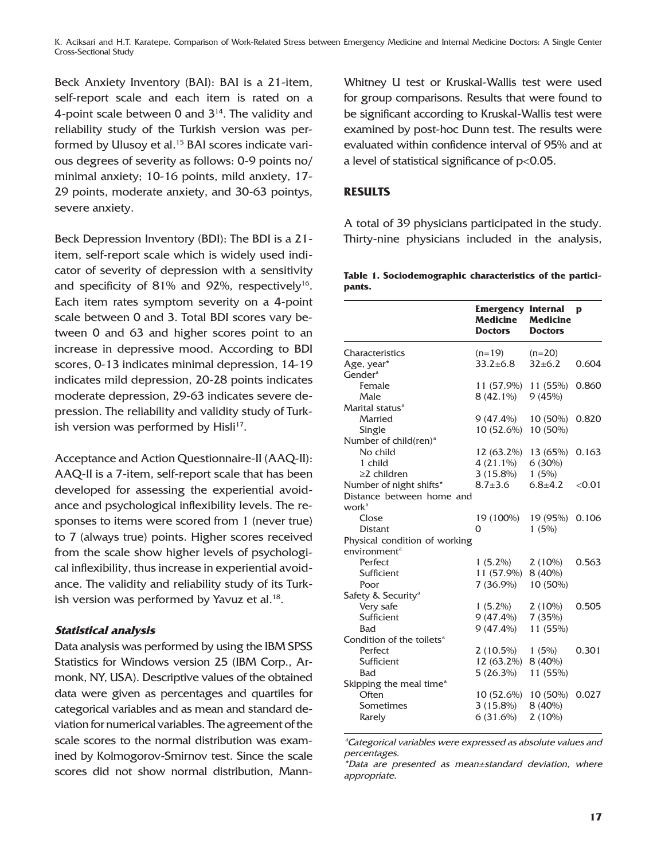K. Aciksari and H.T. Karatepe. Comparison of Work-Related Stress between Emergency Medicine and Internal Medicine Doctors: A Single Center Cross-Sectional Study

Beck Anxiety Inventory (BAI): BAI is a 21-item, self-report scale and each item is rated on a 4-point scale between 0 and  $3<sup>14</sup>$ . The validity and reliability study of the Turkish version was performed by Ulusoy et al.<sup>15</sup> BAI scores indicate various degrees of severity as follows: 0-9 points no/ minimal anxiety; 10-16 points, mild anxiety, 17- 29 points, moderate anxiety, and 30-63 pointys, severe anxiety.

Beck Depression Inventory (BDI): The BDI is a 21 item, self-report scale which is widely used indicator of severity of depression with a sensitivity and specificity of  $81\%$  and  $92\%$ , respectively<sup>16</sup>. Each item rates symptom severity on a 4-point scale between 0 and 3. Total BDI scores vary between 0 and 63 and higher scores point to an increase in depressive mood. According to BDI scores, 0-13 indicates minimal depression, 14-19 indicates mild depression, 20-28 points indicates moderate depression, 29-63 indicates severe depression. The reliability and validity study of Turkish version was performed by  $Hisli<sup>17</sup>$ .

Acceptance and Action Questionnaire-II (AAQ-II): AAQ-II is a 7-item, self-report scale that has been developed for assessing the experiential avoidance and psychological inflexibility levels. The responses to items were scored from 1 (never true) to 7 (always true) points. Higher scores received from the scale show higher levels of psychological inflexibility, thus increase in experiential avoidance. The validity and reliability study of its Turkish version was performed by Yavuz et al.<sup>18</sup>.

# **Statistical analysis**

Data analysis was performed by using the IBM SPSS Statistics for Windows version 25 (IBM Corp., Armonk, NY, USA). Descriptive values of the obtained data were given as percentages and quartiles for categorical variables and as mean and standard deviation for numerical variables. The agreement of the scale scores to the normal distribution was examined by Kolmogorov-Smirnov test. Since the scale scores did not show normal distribution, MannWhitney U test or Kruskal-Wallis test were used for group comparisons. Results that were found to be significant according to Kruskal-Wallis test were examined by post-hoc Dunn test. The results were evaluated within confidence interval of 95% and at a level of statistical significance of p<0.05.

### **RESULTS**

A total of 39 physicians participated in the study. Thirty-nine physicians included in the analysis,

**Table 1. Sociodemographic characteristics of the participants.** 

|                                              | <b>Emergency Internal</b><br>Medicine<br><b>Doctors</b> | <b>Medicine</b><br><b>Doctors</b> | D      |
|----------------------------------------------|---------------------------------------------------------|-----------------------------------|--------|
| Characteristics                              | $(n=19)$                                                | $(n=20)$                          |        |
| Age, year*                                   | $33.2 + 6.8$                                            | $32 + 6.2$                        | 0.604  |
| Gender <sup>a</sup>                          |                                                         |                                   |        |
| Female                                       | 11 (57.9%)                                              | 11 (55%)                          | 0.860  |
| Male                                         | 8 (42.1%)                                               | 9(45%)                            |        |
| Marital status <sup>a</sup>                  |                                                         |                                   |        |
| Married                                      | $9(47.4\%)$                                             | 10 (50%)                          | 0.820  |
| Single                                       | 10 (52.6%)                                              | 10 (50%)                          |        |
| Number of child(ren) <sup>a</sup>            |                                                         |                                   |        |
| No child                                     | 12 (63.2%)                                              | 13 (65%)                          | 0.163  |
| 1 child                                      | $4(21.1\%)$                                             | 6(30%)                            |        |
| $\geq$ 2 children                            | $3(15.8\%)$                                             | 1(5%)                             |        |
| Number of night shifts*                      | $8.7 \pm 3.6$                                           | $6.8 + 4.2$                       | < 0.01 |
| Distance between home and                    |                                                         |                                   |        |
| work <sup>a</sup>                            |                                                         |                                   |        |
| Close                                        | 19 (100%)                                               | 19 (95%)                          | 0.106  |
| <b>Distant</b>                               | 0                                                       | 1(5%)                             |        |
| Physical condition of working                |                                                         |                                   |        |
| environment <sup>a</sup>                     |                                                         |                                   |        |
| Perfect                                      | $1(5.2\%)$                                              | $2(10\%)$                         | 0.563  |
| Sufficient                                   | 11 (57.9%)                                              | 8 (40%)                           |        |
| Poor                                         | $7(36.9\%)$                                             | 10 (50%)                          |        |
| Safety & Security <sup>a</sup>               |                                                         |                                   |        |
| Very safe                                    | $1(5.2\%)$                                              | $2(10\%)$                         | 0.505  |
| Sufficient                                   | $9(47.4\%)$                                             | 7(35%)                            |        |
| Bad                                          | $9(47.4\%)$                                             | 11 (55%)                          |        |
| Condition of the toilets <sup>a</sup>        |                                                         |                                   |        |
| Perfect                                      | $2(10.5\%)$                                             | 1(5%)                             | 0.301  |
| Sufficient                                   | 12 (63.2%)                                              | 8 (40%)                           |        |
| Bad                                          | 5(26.3%)                                                | 11 (55%)                          |        |
| Skipping the meal time <sup>a</sup><br>Often |                                                         |                                   | 0.027  |
|                                              | 10 (52.6%)                                              | 10 (50%)                          |        |
| Sometimes                                    | $3(15.8\%)$                                             | 8 (40%)                           |        |
| Rarely                                       | 6(31.6%)                                                | $2(10\%)$                         |        |

ªCategorical variables were expressed as absolute values and percentages.

\*Data are presented as mean±standard deviation, where appropriate.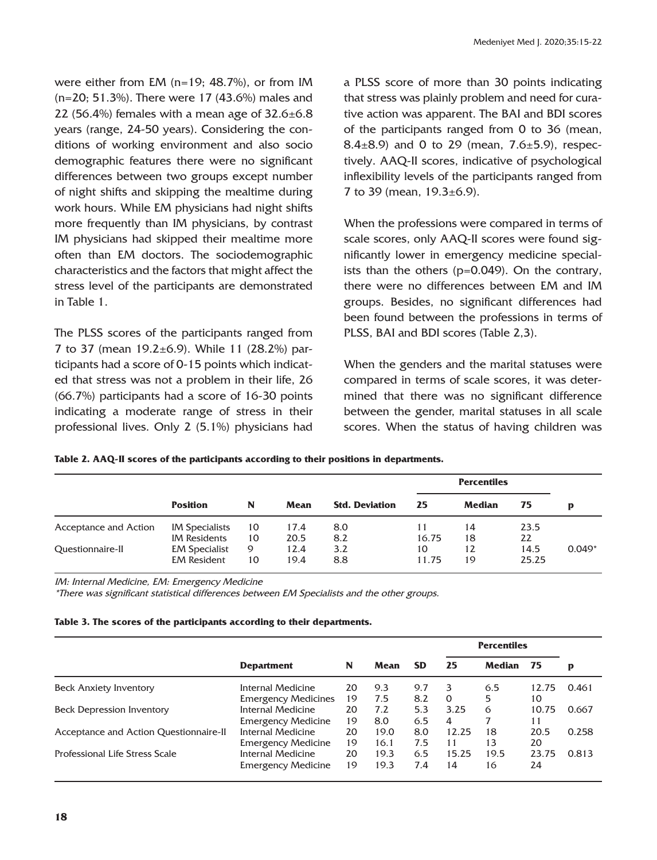were either from EM (n=19; 48.7%), or from IM (n=20; 51.3%). There were 17 (43.6%) males and 22 (56.4%) females with a mean age of  $32.6 \pm 6.8$ years (range, 24-50 years). Considering the conditions of working environment and also socio demographic features there were no significant differences between two groups except number of night shifts and skipping the mealtime during work hours. While EM physicians had night shifts more frequently than IM physicians, by contrast IM physicians had skipped their mealtime more often than EM doctors. The sociodemographic characteristics and the factors that might affect the stress level of the participants are demonstrated in Table 1.

The PLSS scores of the participants ranged from 7 to 37 (mean 19.2±6.9). While 11 (28.2%) participants had a score of 0-15 points which indicated that stress was not a problem in their life, 26 (66.7%) participants had a score of 16-30 points indicating a moderate range of stress in their professional lives. Only 2 (5.1%) physicians had a PLSS score of more than 30 points indicating that stress was plainly problem and need for curative action was apparent. The BAI and BDI scores of the participants ranged from 0 to 36 (mean, 8.4 $\pm$ 8.9) and 0 to 29 (mean, 7.6 $\pm$ 5.9), respectively. AAQ-II scores, indicative of psychological inflexibility levels of the participants ranged from 7 to 39 (mean,  $19.3 \pm 6.9$ ).

When the professions were compared in terms of scale scores, only AAQ-II scores were found significantly lower in emergency medicine specialists than the others (p=0.049). On the contrary, there were no differences between EM and IM groups. Besides, no significant differences had been found between the professions in terms of PLSS, BAI and BDI scores (Table 2,3).

When the genders and the marital statuses were compared in terms of scale scores, it was determined that there was no significant difference between the gender, marital statuses in all scale scores. When the status of having children was

|                       |                                              |          |              |                       |             | <b>Percentiles</b> |               |          |  |  |
|-----------------------|----------------------------------------------|----------|--------------|-----------------------|-------------|--------------------|---------------|----------|--|--|
|                       | <b>Position</b>                              | N        | Mean         | <b>Std. Deviation</b> | 25          | Median             | 75            | D        |  |  |
| Acceptance and Action | <b>IM Specialists</b><br><b>IM Residents</b> | 10<br>10 | 17.4<br>20.5 | 8.0<br>8.2            | 16.75       | 14<br>18           | 23.5<br>22    |          |  |  |
| Questionnaire-II      | <b>EM Specialist</b><br><b>EM Resident</b>   | 9<br>10  | 12.4<br>19.4 | 3.2<br>8.8            | 10<br>11.75 | 12<br>19           | 14.5<br>25.25 | $0.049*$ |  |  |

**Table 2. AAQ-II scores of the participants according to their positions in departments.**

IM: Internal Medicine, EM: Emergency Medicine

\*There was significant statistical differences between EM Specialists and the other groups.

|  |  |  |  |  |  |  | Table 3. The scores of the participants according to their departments. |
|--|--|--|--|--|--|--|-------------------------------------------------------------------------|
|--|--|--|--|--|--|--|-------------------------------------------------------------------------|

|                                        |                            |    |      |           | <b>Percentiles</b> |               |       |       |
|----------------------------------------|----------------------------|----|------|-----------|--------------------|---------------|-------|-------|
|                                        | <b>Department</b>          | N  | Mean | <b>SD</b> | 25                 | <b>Median</b> | 75    | p     |
| <b>Beck Anxiety Inventory</b>          | Internal Medicine          | 20 | 9.3  | 9.7       | 3.                 | 6.5           | 12.75 | 0.461 |
|                                        | <b>Emergency Medicines</b> | 19 | 7.5  | 8.2       | $\Omega$           | 5             | 10    |       |
| <b>Beck Depression Inventory</b>       | Internal Medicine          | 20 | 7.2  | 5.3       | 3.25               | 6             | 10.75 | 0.667 |
|                                        | <b>Emergency Medicine</b>  | 19 | 8.0  | 6.5       | 4                  |               | 11    |       |
| Acceptance and Action Questionnaire-II | Internal Medicine          | 20 | 19.0 | 8.0       | 12.25              | 18            | 20.5  | 0.258 |
|                                        | <b>Emergency Medicine</b>  | 19 | 16.1 | 7.5       | 11                 | 13            | 20    |       |
| Professional Life Stress Scale         | Internal Medicine          | 20 | 19.3 | 6.5       | 15.25              | 19.5          | 23.75 | 0.813 |
|                                        | <b>Emergency Medicine</b>  | 19 | 19.3 | 7.4       | 14                 | 16            | 24    |       |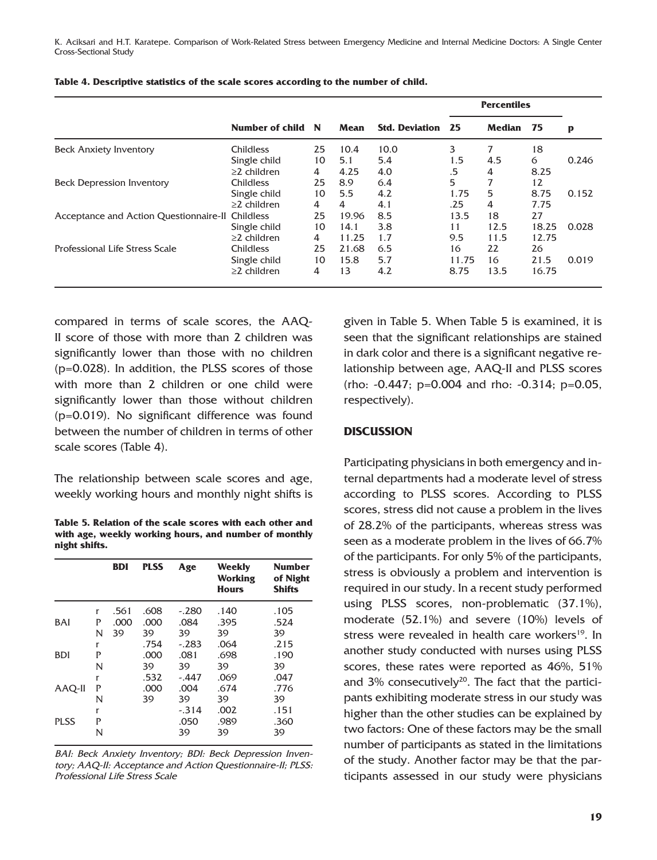K. Aciksari and H.T. Karatepe. Comparison of Work-Related Stress between Emergency Medicine and Internal Medicine Doctors: A Single Center Cross-Sectional Study

|                                                  |                   |    |       |                       | <b>Percentiles</b> |        |       |       |
|--------------------------------------------------|-------------------|----|-------|-----------------------|--------------------|--------|-------|-------|
|                                                  | Number of child N |    | Mean  | <b>Std. Deviation</b> | 25                 | Median | - 75  | p     |
| <b>Beck Anxiety Inventory</b>                    | <b>Childless</b>  | 25 | 10.4  | 10.0                  | 3                  | 7      | 18    |       |
|                                                  | Single child      | 10 | 5.1   | 5.4                   | 1.5                | 4.5    | 6     | 0.246 |
|                                                  | $\geq$ 2 children | 4  | 4.25  | 4.0                   | .5                 | 4      | 8.25  |       |
| <b>Beck Depression Inventory</b>                 | <b>Childless</b>  | 25 | 8.9   | 6.4                   | 5                  | 7      | 12    |       |
|                                                  | Single child      | 10 | 5.5   | 4.2                   | 1.75               | 5      | 8.75  | 0.152 |
|                                                  | $\geq$ 2 children | 4  | 4     | 4.1                   | .25                | 4      | 7.75  |       |
| Acceptance and Action Questionnaire-II Childless |                   | 25 | 19.96 | 8.5                   | 13.5               | 18     | 27    |       |
|                                                  | Single child      | 10 | 14.1  | 3.8                   | 11                 | 12.5   | 18.25 | 0.028 |
|                                                  | $\geq$ 2 children | 4  | 11.25 | 1.7                   | 9.5                | 11.5   | 12.75 |       |
| Professional Life Stress Scale                   | <b>Childless</b>  | 25 | 21.68 | 6.5                   | 16                 | 22     | 26    |       |
|                                                  | Single child      | 10 | 15.8  | 5.7                   | 11.75              | 16     | 21.5  | 0.019 |
|                                                  | $\geq$ 2 children | 4  | 13    | 4.2                   | 8.75               | 13.5   | 16.75 |       |

| Table 4. Descriptive statistics of the scale scores according to the number of child. |  |  |  |  |
|---------------------------------------------------------------------------------------|--|--|--|--|
|---------------------------------------------------------------------------------------|--|--|--|--|

compared in terms of scale scores, the AAQ-II score of those with more than 2 children was significantly lower than those with no children (p=0.028). In addition, the PLSS scores of those with more than 2 children or one child were significantly lower than those without children (p=0.019). No significant difference was found between the number of children in terms of other scale scores (Table 4).

The relationship between scale scores and age, weekly working hours and monthly night shifts is

**Table 5. Relation of the scale scores with each other and with age, weekly working hours, and number of monthly night shifts.**

|             |             | <b>BDI</b>         | <b>PLSS</b>        | Age                   | Weekly<br><b>Working</b><br><b>Hours</b> | <b>Number</b><br>of Night<br><b>Shifts</b> |
|-------------|-------------|--------------------|--------------------|-----------------------|------------------------------------------|--------------------------------------------|
| <b>BAI</b>  | r<br>P<br>N | .561<br>.000<br>39 | .608<br>.000<br>39 | $-.280$<br>.084<br>39 | .140<br>.395<br>39                       | .105<br>.524<br>39                         |
| <b>BDI</b>  | r<br>P<br>N |                    | .754<br>.000<br>39 | $-.283$<br>.081<br>39 | .064<br>.698<br>39                       | .215<br>.190<br>39                         |
| AAQ-II      | r<br>P<br>N |                    | .532<br>.000<br>39 | $-.447$<br>.004<br>39 | .069<br>.674<br>39                       | .047<br>.776<br>39                         |
| <b>PLSS</b> | r<br>P<br>N |                    |                    | $-.314$<br>.050<br>39 | .002<br>.989<br>39                       | .151<br>.360<br>39                         |

BAI: Beck Anxiety Inventory; BDI: Beck Depression Inventory; AAQ-II: Acceptance and Action Questionnaire-II; PLSS: Professional Life Stress Scale

given in Table 5. When Table 5 is examined, it is seen that the significant relationships are stained in dark color and there is a significant negative relationship between age, AAQ-II and PLSS scores (rho: -0.447; p=0.004 and rho: -0.314; p=0.05, respectively).

# **DISCUSSION**

Participating physicians in both emergency and internal departments had a moderate level of stress according to PLSS scores. According to PLSS scores, stress did not cause a problem in the lives of 28.2% of the participants, whereas stress was seen as a moderate problem in the lives of 66.7% of the participants. For only 5% of the participants, stress is obviously a problem and intervention is required in our study. In a recent study performed using PLSS scores, non-problematic (37.1%), moderate (52.1%) and severe (10%) levels of stress were revealed in health care workers<sup>19</sup>. In another study conducted with nurses using PLSS scores, these rates were reported as 46%, 51% and  $3\%$  consecutively<sup>20</sup>. The fact that the participants exhibiting moderate stress in our study was higher than the other studies can be explained by two factors: One of these factors may be the small number of participants as stated in the limitations of the study. Another factor may be that the participants assessed in our study were physicians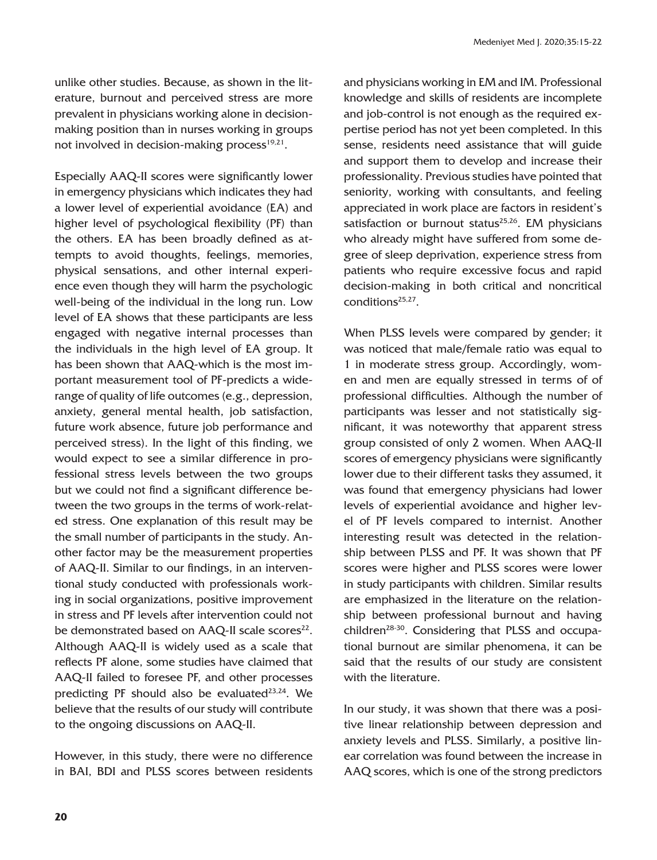unlike other studies. Because, as shown in the literature, burnout and perceived stress are more prevalent in physicians working alone in decisionmaking position than in nurses working in groups not involved in decision-making process $19,21$ .

Especially AAQ-II scores were significantly lower in emergency physicians which indicates they had a lower level of experiential avoidance (EA) and higher level of psychological flexibility (PF) than the others. EA has been broadly defined as attempts to avoid thoughts, feelings, memories, physical sensations, and other internal experience even though they will harm the psychologic well-being of the individual in the long run. Low level of EA shows that these participants are less engaged with negative internal processes than the individuals in the high level of EA group. It has been shown that AAQ-which is the most important measurement tool of PF-predicts a widerange of quality of life outcomes (e.g., depression, anxiety, general mental health, job satisfaction, future work absence, future job performance and perceived stress). In the light of this finding, we would expect to see a similar difference in professional stress levels between the two groups but we could not find a significant difference between the two groups in the terms of work-related stress. One explanation of this result may be the small number of participants in the study. Another factor may be the measurement properties of AAQ-II. Similar to our findings, in an interventional study conducted with professionals working in social organizations, positive improvement in stress and PF levels after intervention could not be demonstrated based on AAQ-II scale scores<sup>22</sup>. Although AAQ-II is widely used as a scale that reflects PF alone, some studies have claimed that AAQ-II failed to foresee PF, and other processes predicting PF should also be evaluated<sup>23,24</sup>. We believe that the results of our study will contribute to the ongoing discussions on AAQ-II.

However, in this study, there were no difference in BAI, BDI and PLSS scores between residents and physicians working in EM and IM. Professional knowledge and skills of residents are incomplete and job-control is not enough as the required expertise period has not yet been completed. In this sense, residents need assistance that will guide and support them to develop and increase their professionality. Previous studies have pointed that seniority, working with consultants, and feeling appreciated in work place are factors in resident's satisfaction or burnout status $25,26$ . EM physicians who already might have suffered from some degree of sleep deprivation, experience stress from patients who require excessive focus and rapid decision-making in both critical and noncritical conditions25,27.

When PLSS levels were compared by gender; it was noticed that male/female ratio was equal to 1 in moderate stress group. Accordingly, women and men are equally stressed in terms of of professional difficulties. Although the number of participants was lesser and not statistically significant, it was noteworthy that apparent stress group consisted of only 2 women. When AAQ-II scores of emergency physicians were significantly lower due to their different tasks they assumed, it was found that emergency physicians had lower levels of experiential avoidance and higher level of PF levels compared to internist. Another interesting result was detected in the relationship between PLSS and PF. It was shown that PF scores were higher and PLSS scores were lower in study participants with children. Similar results are emphasized in the literature on the relationship between professional burnout and having children<sup>28-30</sup>. Considering that PLSS and occupational burnout are similar phenomena, it can be said that the results of our study are consistent with the literature.

In our study, it was shown that there was a positive linear relationship between depression and anxiety levels and PLSS. Similarly, a positive linear correlation was found between the increase in AAQ scores, which is one of the strong predictors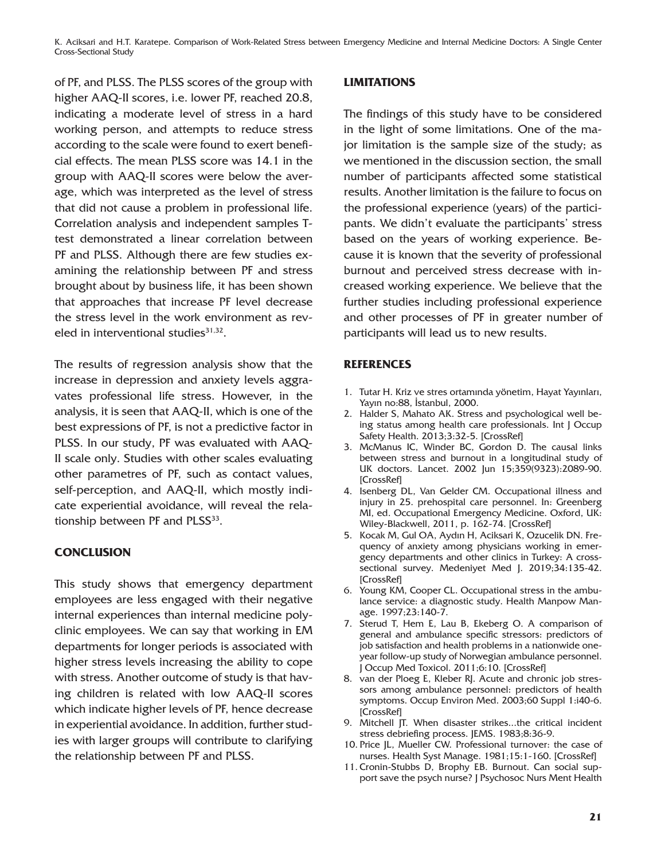K. Aciksari and H.T. Karatepe. Comparison of Work-Related Stress between Emergency Medicine and Internal Medicine Doctors: A Single Center Cross-Sectional Study

of PF, and PLSS. The PLSS scores of the group with higher AAQ-II scores, i.e. lower PF, reached 20.8, indicating a moderate level of stress in a hard working person, and attempts to reduce stress according to the scale were found to exert beneficial effects. The mean PLSS score was 14.1 in the group with AAQ-II scores were below the average, which was interpreted as the level of stress that did not cause a problem in professional life. Correlation analysis and independent samples Ttest demonstrated a linear correlation between PF and PLSS. Although there are few studies examining the relationship between PF and stress brought about by business life, it has been shown that approaches that increase PF level decrease the stress level in the work environment as reveled in interventional studies $31,32$ .

The results of regression analysis show that the increase in depression and anxiety levels aggravates professional life stress. However, in the analysis, it is seen that AAQ-II, which is one of the best expressions of PF, is not a predictive factor in PLSS. In our study, PF was evaluated with AAQ-II scale only. Studies with other scales evaluating other parametres of PF, such as contact values, self-perception, and AAQ-II, which mostly indicate experiential avoidance, will reveal the relationship between PF and PLSS<sup>33</sup>.

# **CONCLUSION**

This study shows that emergency department employees are less engaged with their negative internal experiences than internal medicine polyclinic employees. We can say that working in EM departments for longer periods is associated with higher stress levels increasing the ability to cope with stress. Another outcome of study is that having children is related with low AAQ-II scores which indicate higher levels of PF, hence decrease in experiential avoidance. In addition, further studies with larger groups will contribute to clarifying the relationship between PF and PLSS.

# **LIMITATIONS**

The findings of this study have to be considered in the light of some limitations. One of the major limitation is the sample size of the study; as we mentioned in the discussion section, the small number of participants affected some statistical results. Another limitation is the failure to focus on the professional experience (years) of the participants. We didn't evaluate the participants' stress based on the years of working experience. Because it is known that the severity of professional burnout and perceived stress decrease with increased working experience. We believe that the further studies including professional experience and other processes of PF in greater number of participants will lead us to new results.

# **REFERENCES**

- 1. Tutar H. Kriz ve stres ortamında yönetim, Hayat Yayınları, Yayın no:88, İstanbul, 2000.
- 2. Halder S, Mahato AK. Stress and psychological well being status among health care professionals. Int J Occup Safety Health. 2013;3:32-5. [\[CrossRef\]](https://doi.org/10.3126/ijosh.v3i1.9099)
- 3. McManus IC, Winder BC, Gordon D. The causal links between stress and burnout in a longitudinal study of UK doctors. Lancet. 2002 Jun 15;359(9323):2089-90. [\[CrossRef\]](https://doi.org/10.1016/S0140-6736(02)08915-8)
- 4. Isenberg DL, Van Gelder CM. Occupational illness and injury in 25. prehospital care personnel. In: Greenberg MI, ed. Occupational Emergency Medicine. Oxford, UK: Wiley-Blackwell, 2011, p. 162-74. [\[CrossRef\]](https://doi.org/10.1002/9781444329629.ch12)
- 5. Kocak M, Gul OA, Aydın H, Aciksari K, Ozucelik DN. Frequency of anxiety among physicians working in emergency departments and other clinics in Turkey: A crosssectional survey. Medeniyet Med J. 2019;34:135-42. [\[CrossRef\]](https://doi.org/10.5222/MMJ.2019.34032)
- 6. Young KM, Cooper CL. Occupational stress in the ambulance service: a diagnostic study. Health Manpow Manage. 1997;23:140-7.
- 7. Sterud T, Hem E, Lau B, Ekeberg O. A comparison of general and ambulance specific stressors: predictors of job satisfaction and health problems in a nationwide oneyear follow-up study of Norwegian ambulance personnel. J Occup Med Toxicol. 2011;6:10. [\[CrossRef\]](https://doi.org/10.1186/1745-6673-6-10)
- 8. van der Ploeg E, Kleber RJ. Acute and chronic job stressors among ambulance personnel: predictors of health symptoms. Occup Environ Med. 2003;60 Suppl 1:i40-6. [\[CrossRef\]](https://doi.org/10.1136/oem.60.suppl_1.i40)
- 9. Mitchell JT. When disaster strikes...the critical incident stress debriefing process. JEMS. 1983;8:36-9.
- 10. Price JL, Mueller CW. Professional turnover: the case of nurses. Health Syst Manage. 1981;15:1-160. [\[CrossRef\]](https://doi.org/10.1007/978-94-011-8016-0_1)
- 11. Cronin-Stubbs D, Brophy EB. Burnout. Can social support save the psych nurse? J Psychosoc Nurs Ment Health